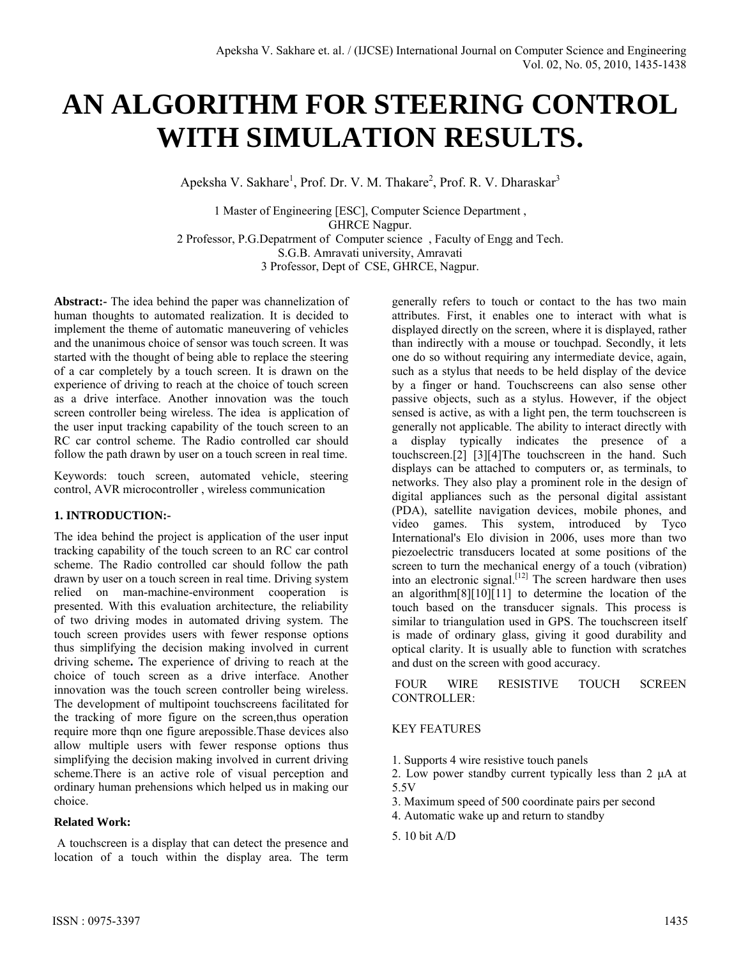# **AN ALGORITHM FOR STEERING CONTROL WITH SIMULATION RESULTS.**

Apeksha V. Sakhare<sup>1</sup>, Prof. Dr. V. M. Thakare<sup>2</sup>, Prof. R. V. Dharaskar<sup>3</sup>

1 Master of Engineering [ESC], Computer Science Department , GHRCE Nagpur. 2 Professor, P.G.Depatrment of Computer science , Faculty of Engg and Tech. S.G.B. Amravati university, Amravati 3 Professor, Dept of CSE, GHRCE, Nagpur.

**Abstract:-** The idea behind the paper was channelization of human thoughts to automated realization. It is decided to implement the theme of automatic maneuvering of vehicles and the unanimous choice of sensor was touch screen. It was started with the thought of being able to replace the steering of a car completely by a touch screen. It is drawn on the experience of driving to reach at the choice of touch screen as a drive interface. Another innovation was the touch screen controller being wireless. The idea is application of the user input tracking capability of the touch screen to an RC car control scheme. The Radio controlled car should follow the path drawn by user on a touch screen in real time.

Keywords: touch screen, automated vehicle, steering control, AVR microcontroller , wireless communication

# **1. INTRODUCTION:-**

The idea behind the project is application of the user input tracking capability of the touch screen to an RC car control scheme. The Radio controlled car should follow the path drawn by user on a touch screen in real time. Driving system relied on man-machine-environment cooperation is presented. With this evaluation architecture, the reliability of two driving modes in automated driving system. The touch screen provides users with fewer response options thus simplifying the decision making involved in current driving scheme**.** The experience of driving to reach at the choice of touch screen as a drive interface. Another innovation was the touch screen controller being wireless. The development of multipoint touchscreens facilitated for the tracking of more figure on the screen,thus operation require more thqn one figure arepossible.Thase devices also allow multiple users with fewer response options thus simplifying the decision making involved in current driving scheme.There is an active role of visual perception and ordinary human prehensions which helped us in making our choice.

## **Related Work:**

 A touchscreen is a display that can detect the presence and location of a touch within the display area. The term

generally refers to touch or contact to the has two main attributes. First, it enables one to interact with what is displayed directly on the screen, where it is displayed, rather than indirectly with a mouse or touchpad. Secondly, it lets one do so without requiring any intermediate device, again, such as a stylus that needs to be held display of the device by a finger or hand. Touchscreens can also sense other passive objects, such as a stylus. However, if the object sensed is active, as with a light pen, the term touchscreen is generally not applicable. The ability to interact directly with a display typically indicates the presence of a touchscreen.[2] [3][4]The touchscreen in the hand. Such displays can be attached to computers or, as terminals, to networks. They also play a prominent role in the design of digital appliances such as the personal digital assistant (PDA), satellite navigation devices, mobile phones, and video games. This system, introduced by Tyco International's Elo division in 2006, uses more than two piezoelectric transducers located at some positions of the screen to turn the mechanical energy of a touch (vibration) into an electronic signal.<sup>[12]</sup> The screen hardware then uses an algorithm $[8][10][11]$  to determine the location of the touch based on the transducer signals. This process is similar to triangulation used in GPS. The touchscreen itself is made of ordinary glass, giving it good durability and optical clarity. It is usually able to function with scratches and dust on the screen with good accuracy.

 FOUR WIRE RESISTIVE TOUCH SCREEN CONTROLLER:

## KEY FEATURES

- 1. Supports 4 wire resistive touch panels
- 2. Low power standby current typically less than 2 μA at 5.5V
- 3. Maximum speed of 500 coordinate pairs per second
- 4. Automatic wake up and return to standby
- 5. 10 bit A/D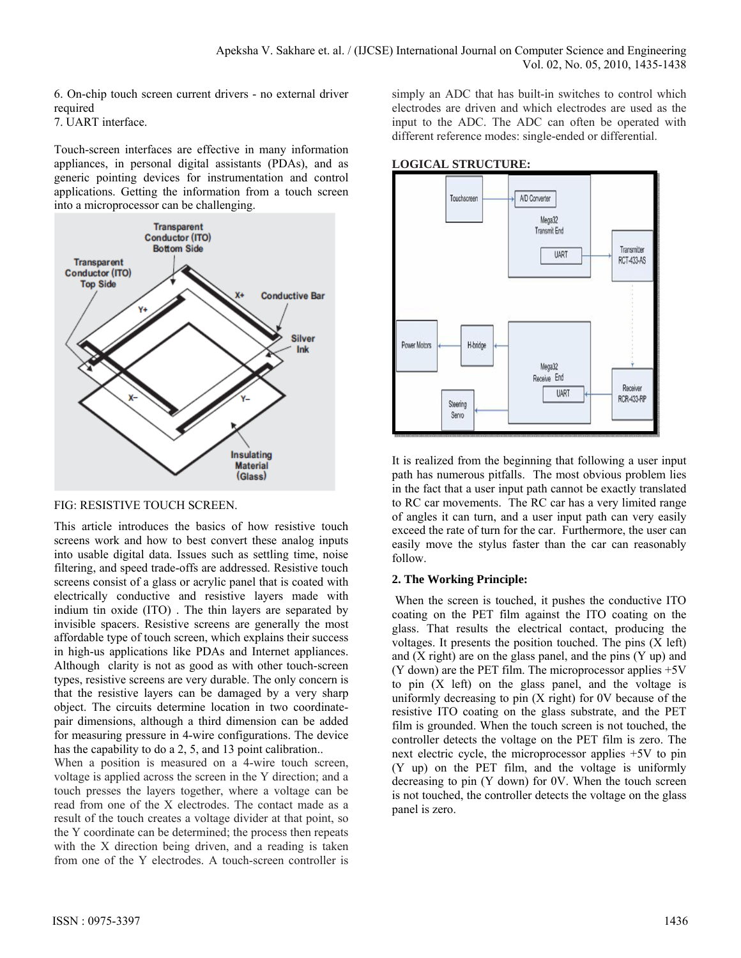6. On-chip touch screen current drivers - no external driver required

7. UART interface.

Touch-screen interfaces are effective in many information appliances, in personal digital assistants (PDAs), and as generic pointing devices for instrumentation and control applications. Getting the information from a touch screen into a microprocessor can be challenging.



## FIG: RESISTIVE TOUCH SCREEN.

This article introduces the basics of how resistive touch screens work and how to best convert these analog inputs into usable digital data. Issues such as settling time, noise filtering, and speed trade-offs are addressed. Resistive touch screens consist of a glass or acrylic panel that is coated with electrically conductive and resistive layers made with indium tin oxide (ITO) . The thin layers are separated by invisible spacers. Resistive screens are generally the most affordable type of touch screen, which explains their success in high-us applications like PDAs and Internet appliances. Although clarity is not as good as with other touch-screen types, resistive screens are very durable. The only concern is that the resistive layers can be damaged by a very sharp object. The circuits determine location in two coordinatepair dimensions, although a third dimension can be added for measuring pressure in 4-wire configurations. The device has the capability to do a 2, 5, and 13 point calibration..

When a position is measured on a 4-wire touch screen, voltage is applied across the screen in the Y direction; and a touch presses the layers together, where a voltage can be read from one of the X electrodes. The contact made as a result of the touch creates a voltage divider at that point, so the Y coordinate can be determined; the process then repeats with the X direction being driven, and a reading is taken from one of the Y electrodes. A touch-screen controller is

simply an ADC that has built-in switches to control which electrodes are driven and which electrodes are used as the input to the ADC. The ADC can often be operated with different reference modes: single-ended or differential.

# **LOGICAL STRUCTURE:**



It is realized from the beginning that following a user input path has numerous pitfalls. The most obvious problem lies in the fact that a user input path cannot be exactly translated to RC car movements. The RC car has a very limited range of angles it can turn, and a user input path can very easily exceed the rate of turn for the car. Furthermore, the user can easily move the stylus faster than the car can reasonably follow.

# **2. The Working Principle:**

When the screen is touched, it pushes the conductive ITO coating on the PET film against the ITO coating on the glass. That results the electrical contact, producing the voltages. It presents the position touched. The pins (X left) and  $(X \text{ right})$  are on the glass panel, and the pins  $(Y \text{ up})$  and (Y down) are the PET film. The microprocessor applies +5V to pin (X left) on the glass panel, and the voltage is uniformly decreasing to pin (X right) for 0V because of the resistive ITO coating on the glass substrate, and the PET film is grounded. When the touch screen is not touched, the controller detects the voltage on the PET film is zero. The next electric cycle, the microprocessor applies +5V to pin (Y up) on the PET film, and the voltage is uniformly decreasing to pin (Y down) for 0V. When the touch screen is not touched, the controller detects the voltage on the glass panel is zero.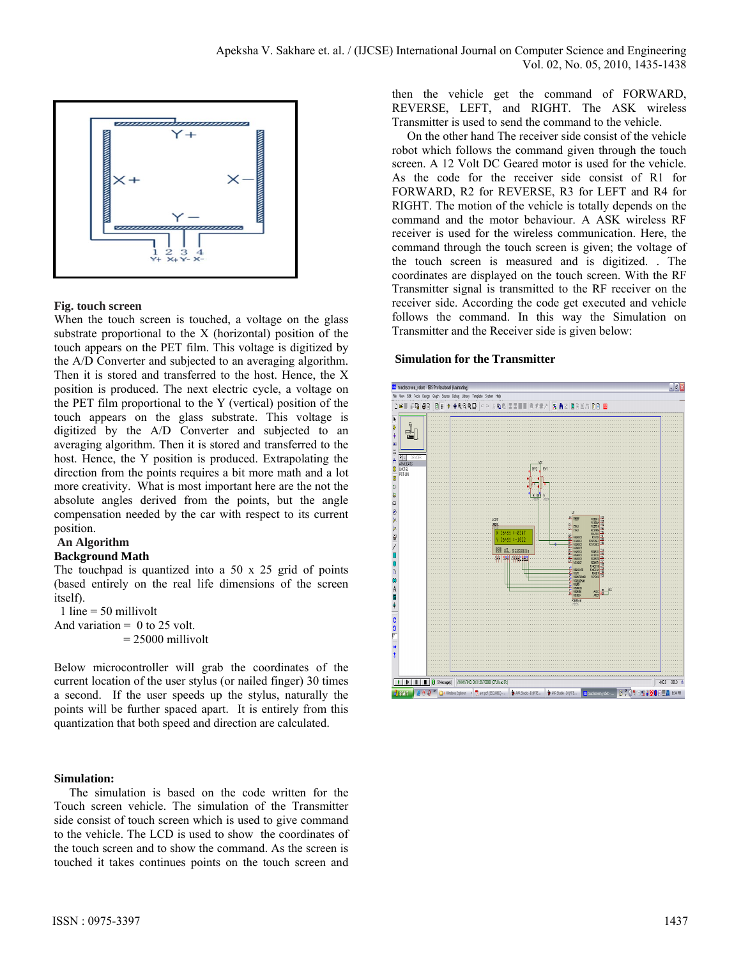

## **Fig. touch screen**

When the touch screen is touched, a voltage on the glass substrate proportional to the X (horizontal) position of the touch appears on the PET film. This voltage is digitized by the A/D Converter and subjected to an averaging algorithm. Then it is stored and transferred to the host. Hence, the X position is produced. The next electric cycle, a voltage on the PET film proportional to the Y (vertical) position of the touch appears on the glass substrate. This voltage is digitized by the A/D Converter and subjected to an averaging algorithm. Then it is stored and transferred to the host. Hence, the Y position is produced. Extrapolating the direction from the points requires a bit more math and a lot more creativity. What is most important here are the not the absolute angles derived from the points, but the angle compensation needed by the car with respect to its current position.

# **An Algorithm**

## **Background Math**

The touchpad is quantized into a 50 x 25 grid of points (based entirely on the real life dimensions of the screen itself).

1 line  $=$  50 millivolt And variation  $= 0$  to 25 volt.  $= 25000$  millivolt

Below microcontroller will grab the coordinates of the current location of the user stylus (or nailed finger) 30 times a second. If the user speeds up the stylus, naturally the points will be further spaced apart. It is entirely from this quantization that both speed and direction are calculated.

## **Simulation:**

The simulation is based on the code written for the Touch screen vehicle. The simulation of the Transmitter side consist of touch screen which is used to give command to the vehicle. The LCD is used to show the coordinates of the touch screen and to show the command. As the screen is touched it takes continues points on the touch screen and then the vehicle get the command of FORWARD, REVERSE, LEFT, and RIGHT. The ASK wireless Transmitter is used to send the command to the vehicle.

 On the other hand The receiver side consist of the vehicle robot which follows the command given through the touch screen. A 12 Volt DC Geared motor is used for the vehicle. As the code for the receiver side consist of R1 for FORWARD, R2 for REVERSE, R3 for LEFT and R4 for RIGHT. The motion of the vehicle is totally depends on the command and the motor behaviour. A ASK wireless RF receiver is used for the wireless communication. Here, the command through the touch screen is given; the voltage of the touch screen is measured and is digitized. . The coordinates are displayed on the touch screen. With the RF Transmitter signal is transmitted to the RF receiver on the receiver side. According the code get executed and vehicle follows the command. In this way the Simulation on Transmitter and the Receiver side is given below:

## **Simulation for the Transmitter**